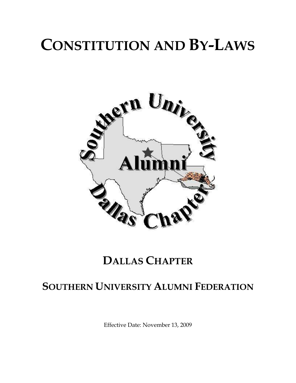# **CONSTITUTION AND BY-LAWS**



# **DALLAS CHAPTER**

# **SOUTHERN UNIVERSITY ALUMNI FEDERATION**

Effective Date: November 13, 2009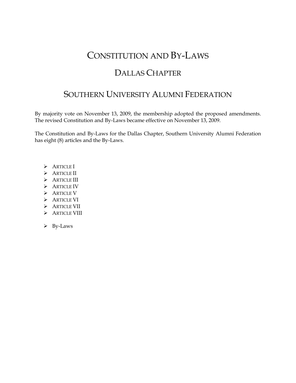## CONSTITUTION AND BY-LAWS

### DALLAS CHAPTER

### SOUTHERN UNIVERSITY ALUMNI FEDERATION

By majority vote on November 13, 2009, the membership adopted the proposed amendments. The revised Constitution and By-Laws became effective on November 13, 2009.

The Constitution and By-Laws for the Dallas Chapter, Southern University Alumni Federation has eight (8) articles and the By-Laws.

- > ARTICLE I
- > ARTICLE II
- > ARTICLE III
- > ARTICLE IV
- > ARTICLE V
- > ARTICLE VI
- > ARTICLE VII
- > ARTICLE VIII
- $\triangleright$  By-Laws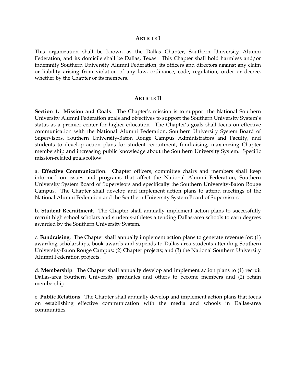#### **ARTICLE I**

This organization shall be known as the Dallas Chapter, Southern University Alumni Federation, and its domicile shall be Dallas, Texas. This Chapter shall hold harmless and/or indemnify Southern University Alumni Federation, its officers and directors against any claim or liability arising from violation of any law, ordinance, code, regulation, order or decree, whether by the Chapter or its members.

#### **ARTICLE II**

**Section 1. Mission and Goals**. The Chapter's mission is to support the National Southern University Alumni Federation goals and objectives to support the Southern University System's status as a premier center for higher education. The Chapter's goals shall focus on effective communication with the National Alumni Federation, Southern University System Board of Supervisors, Southern University-Baton Rouge Campus Administrators and Faculty, and students to develop action plans for student recruitment, fundraising, maximizing Chapter membership and increasing public knowledge about the Southern University System. Specific mission-related goals follow:

a. **Effective Communication**. Chapter officers, committee chairs and members shall keep informed on issues and programs that affect the National Alumni Federation, Southern University System Board of Supervisors and specifically the Southern University-Baton Rouge Campus. The Chapter shall develop and implement action plans to attend meetings of the National Alumni Federation and the Southern University System Board of Supervisors.

b. **Student Recruitment**. The Chapter shall annually implement action plans to successfully recruit high school scholars and students-athletes attending Dallas-area schools to earn degrees awarded by the Southern University System.

c. **Fundraising**. The Chapter shall annually implement action plans to generate revenue for: (1) awarding scholarships, book awards and stipends to Dallas-area students attending Southern University-Baton Rouge Campus; (2) Chapter projects; and (3) the National Southern University Alumni Federation projects.

d. **Membership**. The Chapter shall annually develop and implement action plans to (1) recruit Dallas-area Southern University graduates and others to become members and (2) retain membership.

e. **Public Relations**. The Chapter shall annually develop and implement action plans that focus on establishing effective communication with the media and schools in Dallas-area communities.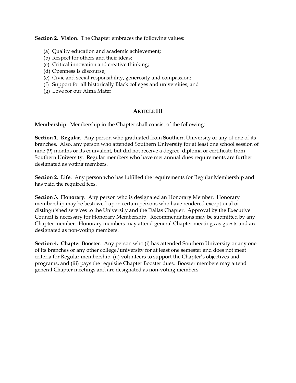**Section 2. Vision**. The Chapter embraces the following values:

- (a) Quality education and academic achievement;
- (b) Respect for others and their ideas;
- (c) Critical innovation and creative thinking;
- (d) Openness is discourse;
- (e) Civic and social responsibility, generosity and compassion;
- (f) Support for all historically Black colleges and universities; and
- (g) Love for our Alma Mater

#### **ARTICLE III**

**Membership**. Membership in the Chapter shall consist of the following:

**Section 1. Regular**. Any person who graduated from Southern University or any of one of its branches. Also, any person who attended Southern University for at least one school session of nine (9) months or its equivalent, but did not receive a degree, diploma or certificate from Southern University. Regular members who have met annual dues requirements are further designated as voting members.

**Section 2. Life**. Any person who has fulfilled the requirements for Regular Membership and has paid the required fees.

**Section 3. Honorary**. Any person who is designated an Honorary Member. Honorary membership may be bestowed upon certain persons who have rendered exceptional or distinguished services to the University and the Dallas Chapter. Approval by the Executive Council is necessary for Honorary Membership. Recommendations may be submitted by any Chapter member. Honorary members may attend general Chapter meetings as guests and are designated as non-voting members.

**Section 4. Chapter Booster**. Any person who (i) has attended Southern University or any one of its branches or any other college/university for at least one semester and does not meet criteria for Regular membership, (ii) volunteers to support the Chapter's objectives and programs, and (iii) pays the requisite Chapter Booster dues. Booster members may attend general Chapter meetings and are designated as non-voting members.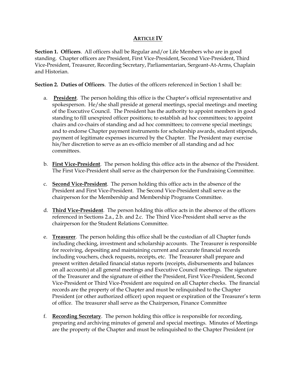#### **ARTICLE IV**

**Section 1. Officers**. All officers shall be Regular and/or Life Members who are in good standing. Chapter officers are President, First Vice-President, Second Vice-President, Third Vice-President, Treasurer, Recording Secretary, Parliamentarian, Sergeant-At-Arms, Chaplain and Historian.

**Section 2. Duties of Officers**. The duties of the officers referenced in Section 1 shall be:

- a. **President**. The person holding this office is the Chapter's official representative and spokesperson. He/she shall preside at general meetings, special meetings and meeting of the Executive Council. The President has the authority to appoint members in good standing to fill unexpired officer positions; to establish ad hoc committees; to appoint chairs and co-chairs of standing and ad hoc committees; to convene special meetings; and to endorse Chapter payment instruments for scholarship awards, student stipends, payment of legitimate expenses incurred by the Chapter. The President may exercise his/her discretion to serve as an ex-officio member of all standing and ad hoc committees.
- b. **First Vice-President**. The person holding this office acts in the absence of the President. The First Vice-President shall serve as the chairperson for the Fundraising Committee.
- c. **Second Vice-President**. The person holding this office acts in the absence of the President and First Vice-President. The Second Vice-President shall serve as the chairperson for the Membership and Membership Programs Committee.
- d. **Third Vice-President**. The person holding this office acts in the absence of the officers referenced in Sections 2.a., 2.b. and 2.c. The Third Vice-President shall serve as the chairperson for the Student Relations Committee.
- e. **Treasurer**. The person holding this office shall be the custodian of all Chapter funds including checking, investment and scholarship accounts. The Treasurer is responsible for receiving, depositing and maintaining current and accurate financial records including vouchers, check requests, receipts, etc. The Treasurer shall prepare and present written detailed financial status reports (receipts, disbursements and balances on all accounts) at all general meetings and Executive Council meetings. The signature of the Treasurer and the signature of either the President, First Vice-President, Second Vice-President or Third Vice-President are required on all Chapter checks. The financial records are the property of the Chapter and must be relinquished to the Chapter President (or other authorized officer) upon request or expiration of the Treasurer's term of office. The treasurer shall serve as the Chairperson, Finance Committee
- f. **Recording Secretary**. The person holding this office is responsible for recording, preparing and archiving minutes of general and special meetings. Minutes of Meetings are the property of the Chapter and must be relinquished to the Chapter President (or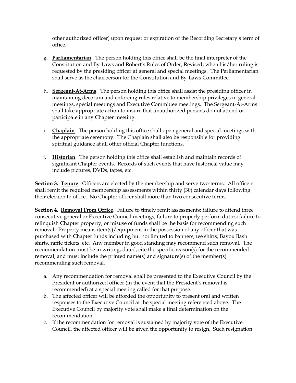other authorized officer) upon request or expiration of the Recording Secretary's term of office.

- g. **Parliamentarian**. The person holding this office shall be the final interpreter of the Constitution and By-Laws and Robert's Rules of Order, Revised, when his/her ruling is requested by the presiding officer at general and special meetings. The Parliamentarian shall serve as the chairperson for the Constitution and By-Laws Committee.
- h. **Sergeant-At-Arms**. The person holding this office shall assist the presiding officer in maintaining decorum and enforcing rules relative to membership privileges in general meetings, special meetings and Executive Committee meetings. The Sergeant-At-Arms shall take appropriate action to insure that unauthorized persons do not attend or participate in any Chapter meeting.
- i. **Chaplain**. The person holding this office shall open general and special meetings with the appropriate ceremony. The Chaplain shall also be responsible for providing spiritual guidance at all other official Chapter functions.
- j. **Historian**. The person holding this office shall establish and maintain records of significant Chapter events. Records of such events that have historical value may include pictures, DVDs, tapes, etc.

**Section 3. Tenure**. Officers are elected by the membership and serve two-terms. All officers shall remit the required membership assessments within thirty (30) calendar days following their election to office. No Chapter officer shall more than two consecutive terms.

**Section 4. Removal From Office**. Failure to timely remit assessments; failure to attend three consecutive general or Executive Council meetings; failure to properly perform duties; failure to relinquish Chapter property; or misuse of funds shall be the basis for recommending such removal. Property means item(s)/equipment in the possession of any officer that was purchased with Chapter funds including but not limited to banners, tee shirts, Bayou Bash shirts, raffle tickets, etc. Any member in good standing may recommend such removal. The recommendation must be in writing, dated, cite the specific reason(s) for the recommended removal, and must include the printed name(s) and signature(s) of the member(s) recommending such removal.

- a. Any recommendation for removal shall be presented to the Executive Council by the President or authorized officer (in the event that the President's removal is recommended) at a special meeting called for that purpose.
- b. The affected officer will be afforded the opportunity to present oral and written responses to the Executive Council at the special meeting referenced above. The Executive Council by majority vote shall make a final determination on the recommendation.
- c. If the recommendation for removal is sustained by majority vote of the Executive Council, the affected officer will be given the opportunity to resign. Such resignation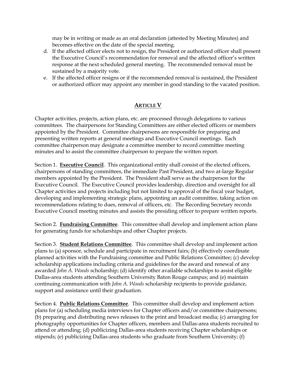may be in writing or made as an oral declaration (attested by Meeting Minutes) and becomes effective on the date of the special meeting.

- d. If the affected officer elects not to resign, the President or authorized officer shall present the Executive Council's recommendation for removal and the affected officer's written response at the next scheduled general meeting. The recommended removal must be sustained by a majority vote.
- e. If the affected officer resigns or if the recommended removal is sustained, the President or authorized officer may appoint any member in good standing to the vacated position.

#### **ARTICLE V**

Chapter activities, projects, action plans, etc. are processed through delegations to various committees. The chairpersons for Standing Committees are either elected officers or members appointed by the President. Committee chairpersons are responsible for preparing and presenting written reports at general meetings and Executive Council meetings. Each committee chairperson may designate a committee member to record committee meeting minutes and to assist the committee chairperson to prepare the written report.

Section 1. **Executive Council**. This organizational entity shall consist of the elected officers, chairpersons of standing committees, the immediate Past President, and two at-large Regular members appointed by the President. The President shall serve as the chairperson for the Executive Council. The Executive Council provides leadership, direction and oversight for all Chapter activities and projects including but not limited to approval of the fiscal year budget, developing and implementing strategic plans, appointing an audit committee, taking action on recommendations relating to dues, removal of officers, etc. The Recording Secretary records Executive Council meeting minutes and assists the presiding officer to prepare written reports.

Section 2. **Fundraising Committee**. This committee shall develop and implement action plans for generating funds for scholarships and other Chapter projects.

Section 3. **Student Relations Committee**. This committee shall develop and implement action plans to (a) sponsor, schedule and participate in recruitment fairs; (b) effectively coordinate planned activities with the Fundraising committee and Public Relations Committee; (c) develop scholarship applications including criteria and guidelines for the award and renewal of any awarded *John A. Woods* scholarship; (d) identify other available scholarships to assist eligible Dallas-area students attending Southern University Baton Rouge campus; and (e) maintain continuing communication with *John A. Woods* scholarship recipients to provide guidance, support and assistance until their graduation.

Section 4. **Public Relations Committee**. This committee shall develop and implement action plans for (a) scheduling media interviews for Chapter officers and/or committee chairpersons; (b) preparing and distributing news releases to the print and broadcast media; (c) arranging for photography opportunities for Chapter officers, members and Dallas-area students recruited to attend or attending; (d) publicizing Dallas-area students receiving Chapter scholarships or stipends; (e) publicizing Dallas-area students who graduate from Southern University; (f)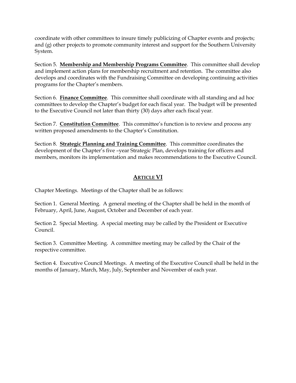coordinate with other committees to insure timely publicizing of Chapter events and projects; and (g) other projects to promote community interest and support for the Southern University System.

Section 5. **Membership and Membership Programs Committee**. This committee shall develop and implement action plans for membership recruitment and retention. The committee also develops and coordinates with the Fundraising Committee on developing continuing activities programs for the Chapter's members.

Section 6. **Finance Committee**. This committee shall coordinate with all standing and ad hoc committees to develop the Chapter's budget for each fiscal year. The budget will be presented to the Executive Council not later than thirty (30) days after each fiscal year.

Section 7. **Constitution Committee**. This committee's function is to review and process any written proposed amendments to the Chapter's Constitution.

Section 8. **Strategic Planning and Training Committee**. This committee coordinates the development of the Chapter's five –year Strategic Plan, develops training for officers and members, monitors its implementation and makes recommendations to the Executive Council.

#### **ARTICLE VI**

Chapter Meetings. Meetings of the Chapter shall be as follows:

Section 1. General Meeting. A general meeting of the Chapter shall be held in the month of February, April, June, August, October and December of each year.

Section 2. Special Meeting. A special meeting may be called by the President or Executive Council.

Section 3. Committee Meeting. A committee meeting may be called by the Chair of the respective committee.

Section 4. Executive Council Meetings. A meeting of the Executive Council shall be held in the months of January, March, May, July, September and November of each year.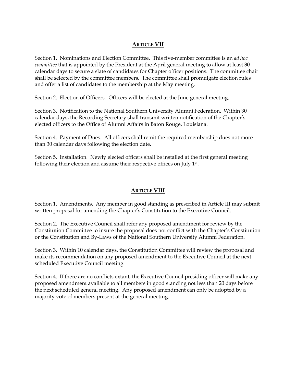#### **ARTICLE VII**

Section 1. Nominations and Election Committee. This five-member committee is an *ad hoc committee* that is appointed by the President at the April general meeting to allow at least 30 calendar days to secure a slate of candidates for Chapter officer positions. The committee chair shall be selected by the committee members. The committee shall promulgate election rules and offer a list of candidates to the membership at the May meeting.

Section 2. Election of Officers. Officers will be elected at the June general meeting.

Section 3. Notification to the National Southern University Alumni Federation. Within 30 calendar days, the Recording Secretary shall transmit written notification of the Chapter's elected officers to the Office of Alumni Affairs in Baton Rouge, Louisiana.

Section 4. Payment of Dues. All officers shall remit the required membership dues not more than 30 calendar days following the election date.

Section 5. Installation. Newly elected officers shall be installed at the first general meeting following their election and assume their respective offices on July 1st .

#### **ARTICLE VIII**

Section 1. Amendments. Any member in good standing as prescribed in Article III may submit written proposal for amending the Chapter's Constitution to the Executive Council.

Section 2. The Executive Council shall refer any proposed amendment for review by the Constitution Committee to insure the proposal does not conflict with the Chapter's Constitution or the Constitution and By-Laws of the National Southern University Alumni Federation.

Section 3. Within 10 calendar days, the Constitution Committee will review the proposal and make its recommendation on any proposed amendment to the Executive Council at the next scheduled Executive Council meeting.

Section 4. If there are no conflicts extant, the Executive Council presiding officer will make any proposed amendment available to all members in good standing not less than 20 days before the next scheduled general meeting. Any proposed amendment can only be adopted by a majority vote of members present at the general meeting.